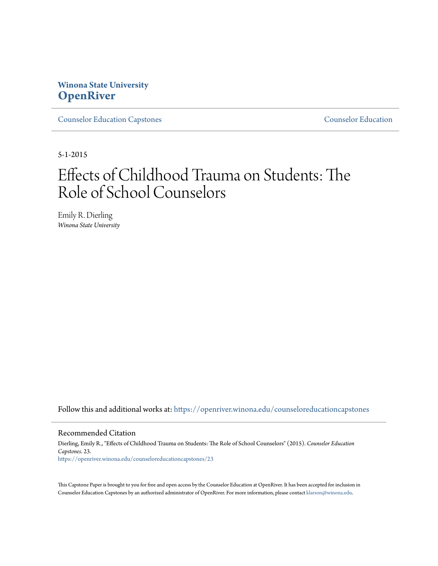## **Winona State University [OpenRiver](https://openriver.winona.edu?utm_source=openriver.winona.edu%2Fcounseloreducationcapstones%2F23&utm_medium=PDF&utm_campaign=PDFCoverPages)**

[Counselor Education Capstones](https://openriver.winona.edu/counseloreducationcapstones?utm_source=openriver.winona.edu%2Fcounseloreducationcapstones%2F23&utm_medium=PDF&utm_campaign=PDFCoverPages) [Counselor Education](https://openriver.winona.edu/counseloreducation?utm_source=openriver.winona.edu%2Fcounseloreducationcapstones%2F23&utm_medium=PDF&utm_campaign=PDFCoverPages)

5-1-2015

# Effects of Childhood Trauma on Students: The Role of School Counselors

Emily R. Dierling *Winona State University*

Follow this and additional works at: [https://openriver.winona.edu/counseloreducationcapstones](https://openriver.winona.edu/counseloreducationcapstones?utm_source=openriver.winona.edu%2Fcounseloreducationcapstones%2F23&utm_medium=PDF&utm_campaign=PDFCoverPages)

#### Recommended Citation

Dierling, Emily R., "Effects of Childhood Trauma on Students: The Role of School Counselors" (2015). *Counselor Education Capstones*. 23. [https://openriver.winona.edu/counseloreducationcapstones/23](https://openriver.winona.edu/counseloreducationcapstones/23?utm_source=openriver.winona.edu%2Fcounseloreducationcapstones%2F23&utm_medium=PDF&utm_campaign=PDFCoverPages)

This Capstone Paper is brought to you for free and open access by the Counselor Education at OpenRiver. It has been accepted for inclusion in Counselor Education Capstones by an authorized administrator of OpenRiver. For more information, please contact [klarson@winona.edu](mailto:klarson@winona.edu).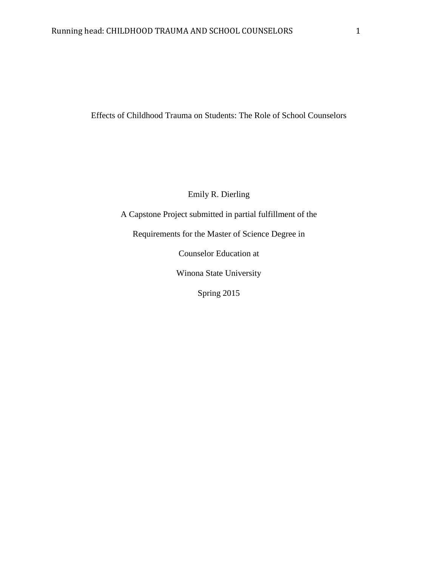Effects of Childhood Trauma on Students: The Role of School Counselors

Emily R. Dierling

A Capstone Project submitted in partial fulfillment of the

Requirements for the Master of Science Degree in

Counselor Education at

Winona State University

Spring 2015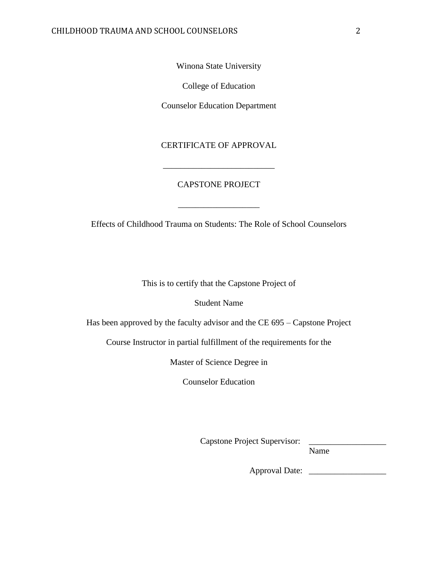Winona State University

College of Education

Counselor Education Department

CERTIFICATE OF APPROVAL

\_\_\_\_\_\_\_\_\_\_\_\_\_\_\_\_\_\_\_\_\_\_\_\_\_\_

#### CAPSTONE PROJECT

Effects of Childhood Trauma on Students: The Role of School Counselors

\_\_\_\_\_\_\_\_\_\_\_\_\_\_\_\_\_\_\_

This is to certify that the Capstone Project of

Student Name

Has been approved by the faculty advisor and the CE 695 – Capstone Project

Course Instructor in partial fulfillment of the requirements for the

Master of Science Degree in

Counselor Education

Capstone Project Supervisor: \_\_\_\_\_\_\_\_\_\_\_\_\_\_\_\_\_\_

Name

Approval Date: \_\_\_\_\_\_\_\_\_\_\_\_\_\_\_\_\_\_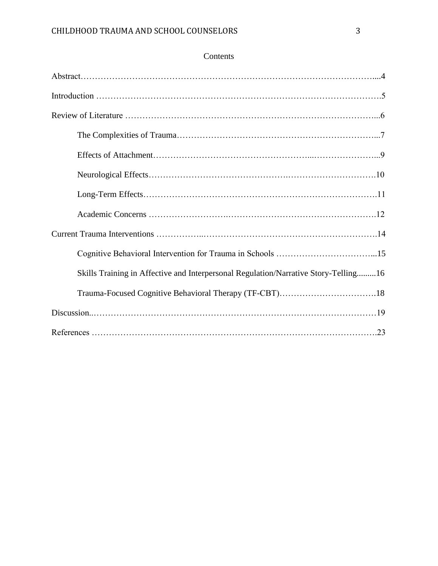| Skills Training in Affective and Interpersonal Regulation/Narrative Story-Telling16 |
|-------------------------------------------------------------------------------------|
| Trauma-Focused Cognitive Behavioral Therapy (TF-CBT)18                              |
|                                                                                     |
|                                                                                     |

### Contents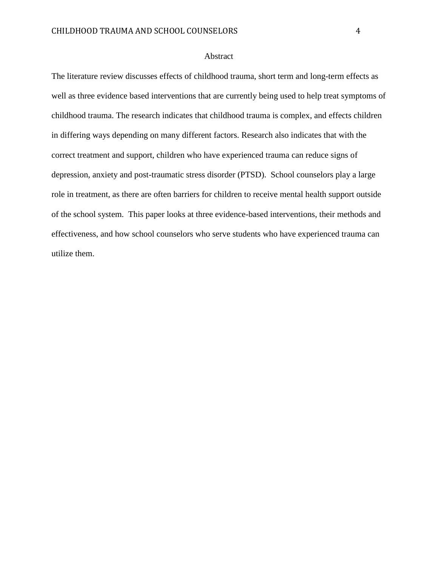#### Abstract

The literature review discusses effects of childhood trauma, short term and long-term effects as well as three evidence based interventions that are currently being used to help treat symptoms of childhood trauma. The research indicates that childhood trauma is complex, and effects children in differing ways depending on many different factors. Research also indicates that with the correct treatment and support, children who have experienced trauma can reduce signs of depression, anxiety and post-traumatic stress disorder (PTSD). School counselors play a large role in treatment, as there are often barriers for children to receive mental health support outside of the school system. This paper looks at three evidence-based interventions, their methods and effectiveness, and how school counselors who serve students who have experienced trauma can utilize them.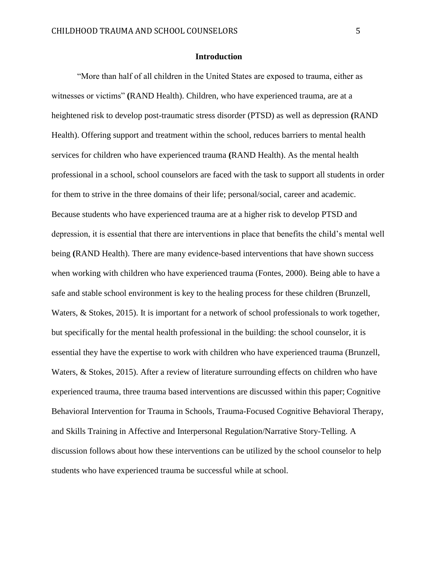#### **Introduction**

"More than half of all children in the United States are exposed to trauma, either as witnesses or victims" **(**RAND Health). Children, who have experienced trauma, are at a heightened risk to develop post-traumatic stress disorder (PTSD) as well as depression **(**RAND Health). Offering support and treatment within the school, reduces barriers to mental health services for children who have experienced trauma **(**RAND Health). As the mental health professional in a school, school counselors are faced with the task to support all students in order for them to strive in the three domains of their life; personal/social, career and academic. Because students who have experienced trauma are at a higher risk to develop PTSD and depression, it is essential that there are interventions in place that benefits the child's mental well being **(**RAND Health). There are many evidence-based interventions that have shown success when working with children who have experienced trauma (Fontes, 2000). Being able to have a safe and stable school environment is key to the healing process for these children (Brunzell, Waters, & Stokes, 2015). It is important for a network of school professionals to work together, but specifically for the mental health professional in the building: the school counselor, it is essential they have the expertise to work with children who have experienced trauma (Brunzell, Waters, & Stokes, 2015). After a review of literature surrounding effects on children who have experienced trauma, three trauma based interventions are discussed within this paper; Cognitive Behavioral Intervention for Trauma in Schools, Trauma-Focused Cognitive Behavioral Therapy, and Skills Training in Affective and Interpersonal Regulation/Narrative Story-Telling. A discussion follows about how these interventions can be utilized by the school counselor to help students who have experienced trauma be successful while at school.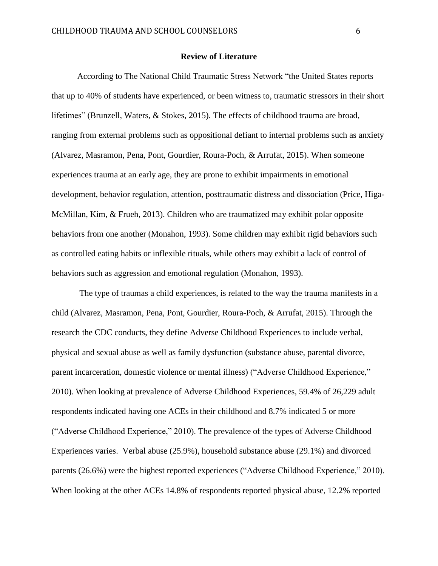#### **Review of Literature**

According to The National Child Traumatic Stress Network "the United States reports that up to 40% of students have experienced, or been witness to, traumatic stressors in their short lifetimes" (Brunzell, Waters, & Stokes, 2015). The effects of childhood trauma are broad, ranging from external problems such as oppositional defiant to internal problems such as anxiety (Alvarez, Masramon, Pena, Pont, Gourdier, Roura-Poch, & Arrufat, 2015). When someone experiences trauma at an early age, they are prone to exhibit impairments in emotional development, behavior regulation, attention, posttraumatic distress and dissociation (Price, Higa-McMillan, Kim, & Frueh, 2013). Children who are traumatized may exhibit polar opposite behaviors from one another (Monahon, 1993). Some children may exhibit rigid behaviors such as controlled eating habits or inflexible rituals, while others may exhibit a lack of control of behaviors such as aggression and emotional regulation (Monahon, 1993).

The type of traumas a child experiences, is related to the way the trauma manifests in a child (Alvarez, Masramon, Pena, Pont, Gourdier, Roura-Poch, & Arrufat, 2015). Through the research the CDC conducts, they define Adverse Childhood Experiences to include verbal, physical and sexual abuse as well as family dysfunction (substance abuse, parental divorce, parent incarceration, domestic violence or mental illness) ("Adverse Childhood Experience," 2010). When looking at prevalence of Adverse Childhood Experiences, 59.4% of 26,229 adult respondents indicated having one ACEs in their childhood and 8.7% indicated 5 or more ("Adverse Childhood Experience," 2010). The prevalence of the types of Adverse Childhood Experiences varies. Verbal abuse (25.9%), household substance abuse (29.1%) and divorced parents (26.6%) were the highest reported experiences ("Adverse Childhood Experience," 2010). When looking at the other ACEs 14.8% of respondents reported physical abuse, 12.2% reported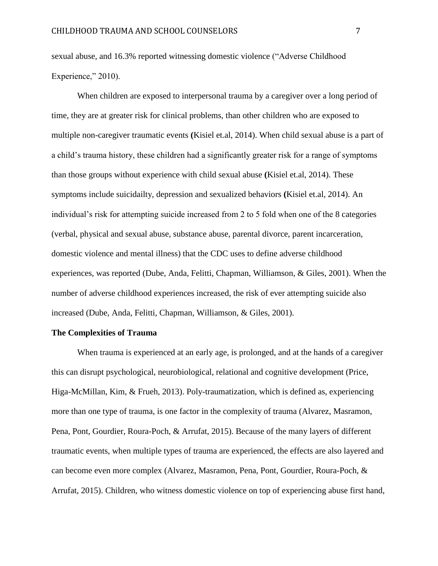sexual abuse, and 16.3% reported witnessing domestic violence ("Adverse Childhood Experience," 2010).

When children are exposed to interpersonal trauma by a caregiver over a long period of time, they are at greater risk for clinical problems, than other children who are exposed to multiple non-caregiver traumatic events **(**Kisiel et.al, 2014). When child sexual abuse is a part of a child's trauma history, these children had a significantly greater risk for a range of symptoms than those groups without experience with child sexual abuse **(**Kisiel et.al, 2014). These symptoms include suicidailty, depression and sexualized behaviors **(**Kisiel et.al, 2014). An individual's risk for attempting suicide increased from 2 to 5 fold when one of the 8 categories (verbal, physical and sexual abuse, substance abuse, parental divorce, parent incarceration, domestic violence and mental illness) that the CDC uses to define adverse childhood experiences, was reported (Dube, Anda, Felitti, Chapman, Williamson, & Giles, 2001). When the number of adverse childhood experiences increased, the risk of ever attempting suicide also increased (Dube, Anda, Felitti, Chapman, Williamson, & Giles, 2001).

#### **The Complexities of Trauma**

When trauma is experienced at an early age, is prolonged, and at the hands of a caregiver this can disrupt psychological, neurobiological, relational and cognitive development (Price, Higa-McMillan, Kim, & Frueh, 2013). Poly-traumatization, which is defined as, experiencing more than one type of trauma, is one factor in the complexity of trauma (Alvarez, Masramon, Pena, Pont, Gourdier, Roura-Poch, & Arrufat, 2015). Because of the many layers of different traumatic events, when multiple types of trauma are experienced, the effects are also layered and can become even more complex (Alvarez, Masramon, Pena, Pont, Gourdier, Roura-Poch, & Arrufat, 2015). Children, who witness domestic violence on top of experiencing abuse first hand,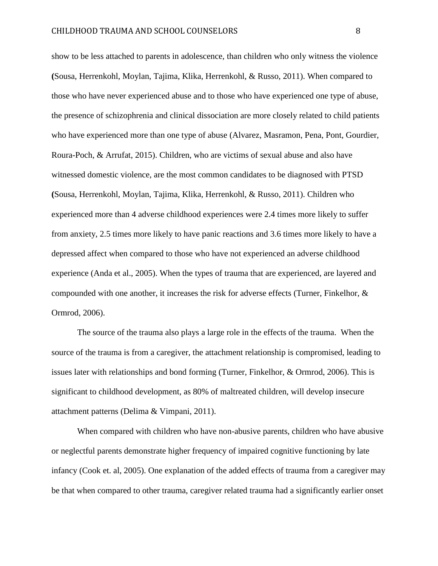show to be less attached to parents in adolescence, than children who only witness the violence **(**Sousa, Herrenkohl, Moylan, Tajima, Klika, Herrenkohl, & Russo, 2011). When compared to those who have never experienced abuse and to those who have experienced one type of abuse, the presence of schizophrenia and clinical dissociation are more closely related to child patients who have experienced more than one type of abuse (Alvarez, Masramon, Pena, Pont, Gourdier, Roura-Poch, & Arrufat, 2015). Children, who are victims of sexual abuse and also have witnessed domestic violence, are the most common candidates to be diagnosed with PTSD **(**Sousa, Herrenkohl, Moylan, Tajima, Klika, Herrenkohl, & Russo, 2011). Children who experienced more than 4 adverse childhood experiences were 2.4 times more likely to suffer from anxiety, 2.5 times more likely to have panic reactions and 3.6 times more likely to have a depressed affect when compared to those who have not experienced an adverse childhood experience (Anda et al., 2005). When the types of trauma that are experienced, are layered and compounded with one another, it increases the risk for adverse effects (Turner, Finkelhor, & Ormrod, 2006).

The source of the trauma also plays a large role in the effects of the trauma. When the source of the trauma is from a caregiver, the attachment relationship is compromised, leading to issues later with relationships and bond forming (Turner, Finkelhor, & Ormrod, 2006). This is significant to childhood development, as 80% of maltreated children, will develop insecure attachment patterns (Delima & Vimpani, 2011).

When compared with children who have non-abusive parents, children who have abusive or neglectful parents demonstrate higher frequency of impaired cognitive functioning by late infancy (Cook et. al, 2005). One explanation of the added effects of trauma from a caregiver may be that when compared to other trauma, caregiver related trauma had a significantly earlier onset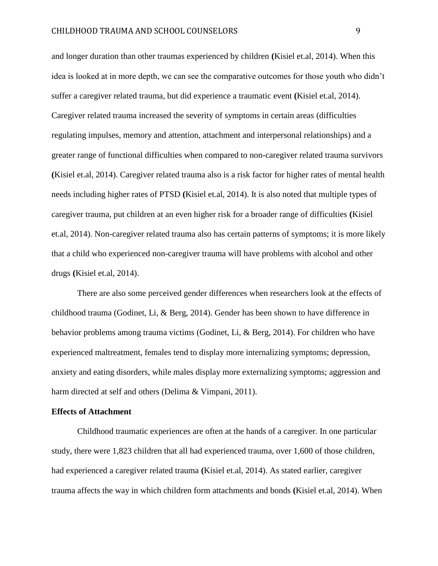and longer duration than other traumas experienced by children **(**Kisiel et.al, 2014). When this idea is looked at in more depth, we can see the comparative outcomes for those youth who didn't suffer a caregiver related trauma, but did experience a traumatic event **(**Kisiel et.al, 2014). Caregiver related trauma increased the severity of symptoms in certain areas (difficulties regulating impulses, memory and attention, attachment and interpersonal relationships) and a greater range of functional difficulties when compared to non-caregiver related trauma survivors **(**Kisiel et.al, 2014). Caregiver related trauma also is a risk factor for higher rates of mental health needs including higher rates of PTSD **(**Kisiel et.al, 2014). It is also noted that multiple types of caregiver trauma, put children at an even higher risk for a broader range of difficulties **(**Kisiel et.al, 2014). Non-caregiver related trauma also has certain patterns of symptoms; it is more likely that a child who experienced non-caregiver trauma will have problems with alcohol and other drugs **(**Kisiel et.al, 2014).

There are also some perceived gender differences when researchers look at the effects of childhood trauma (Godinet, Li, & Berg, 2014). Gender has been shown to have difference in behavior problems among trauma victims (Godinet, Li, & Berg, 2014). For children who have experienced maltreatment, females tend to display more internalizing symptoms; depression, anxiety and eating disorders, while males display more externalizing symptoms; aggression and harm directed at self and others (Delima & Vimpani, 2011).

#### **Effects of Attachment**

Childhood traumatic experiences are often at the hands of a caregiver. In one particular study, there were 1,823 children that all had experienced trauma, over 1,600 of those children, had experienced a caregiver related trauma **(**Kisiel et.al, 2014). As stated earlier, caregiver trauma affects the way in which children form attachments and bonds **(**Kisiel et.al, 2014). When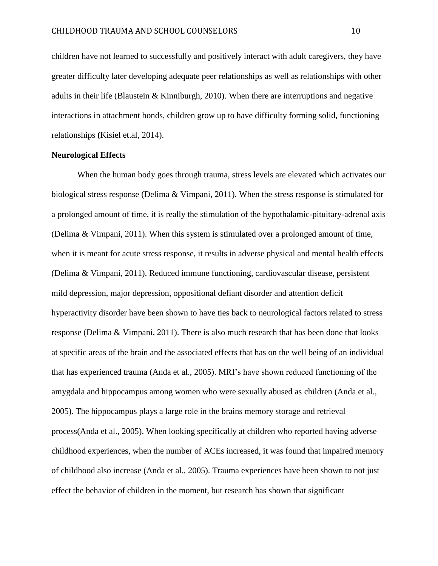children have not learned to successfully and positively interact with adult caregivers, they have greater difficulty later developing adequate peer relationships as well as relationships with other adults in their life (Blaustein & Kinniburgh, 2010). When there are interruptions and negative interactions in attachment bonds, children grow up to have difficulty forming solid, functioning relationships **(**Kisiel et.al, 2014).

#### **Neurological Effects**

When the human body goes through trauma, stress levels are elevated which activates our biological stress response (Delima & Vimpani, 2011). When the stress response is stimulated for a prolonged amount of time, it is really the stimulation of the hypothalamic-pituitary-adrenal axis (Delima & Vimpani, 2011). When this system is stimulated over a prolonged amount of time, when it is meant for acute stress response, it results in adverse physical and mental health effects (Delima & Vimpani, 2011). Reduced immune functioning, cardiovascular disease, persistent mild depression, major depression, oppositional defiant disorder and attention deficit hyperactivity disorder have been shown to have ties back to neurological factors related to stress response (Delima & Vimpani, 2011). There is also much research that has been done that looks at specific areas of the brain and the associated effects that has on the well being of an individual that has experienced trauma (Anda et al., 2005). MRI's have shown reduced functioning of the amygdala and hippocampus among women who were sexually abused as children (Anda et al., 2005). The hippocampus plays a large role in the brains memory storage and retrieval process(Anda et al., 2005). When looking specifically at children who reported having adverse childhood experiences, when the number of ACEs increased, it was found that impaired memory of childhood also increase (Anda et al., 2005). Trauma experiences have been shown to not just effect the behavior of children in the moment, but research has shown that significant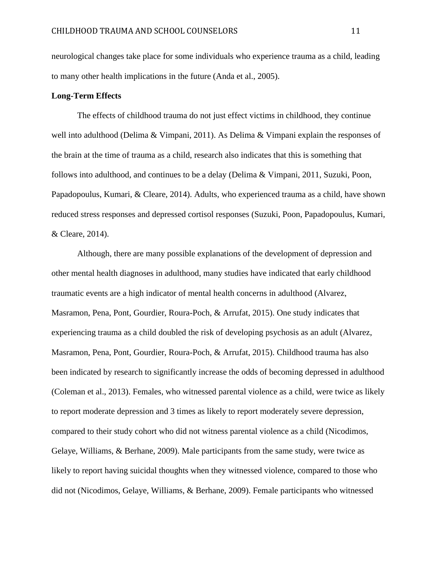neurological changes take place for some individuals who experience trauma as a child, leading to many other health implications in the future (Anda et al., 2005).

#### **Long-Term Effects**

The effects of childhood trauma do not just effect victims in childhood, they continue well into adulthood (Delima & Vimpani, 2011). As Delima & Vimpani explain the responses of the brain at the time of trauma as a child, research also indicates that this is something that follows into adulthood, and continues to be a delay (Delima & Vimpani, 2011, Suzuki, Poon, Papadopoulus, Kumari, & Cleare, 2014). Adults, who experienced trauma as a child, have shown reduced stress responses and depressed cortisol responses (Suzuki, Poon, Papadopoulus, Kumari, & Cleare, 2014).

Although, there are many possible explanations of the development of depression and other mental health diagnoses in adulthood, many studies have indicated that early childhood traumatic events are a high indicator of mental health concerns in adulthood (Alvarez, Masramon, Pena, Pont, Gourdier, Roura-Poch, & Arrufat, 2015). One study indicates that experiencing trauma as a child doubled the risk of developing psychosis as an adult (Alvarez, Masramon, Pena, Pont, Gourdier, Roura-Poch, & Arrufat, 2015). Childhood trauma has also been indicated by research to significantly increase the odds of becoming depressed in adulthood (Coleman et al., 2013). Females, who witnessed parental violence as a child, were twice as likely to report moderate depression and 3 times as likely to report moderately severe depression, compared to their study cohort who did not witness parental violence as a child (Nicodimos, Gelaye, Williams, & Berhane, 2009). Male participants from the same study, were twice as likely to report having suicidal thoughts when they witnessed violence, compared to those who did not (Nicodimos, Gelaye, Williams, & Berhane, 2009). Female participants who witnessed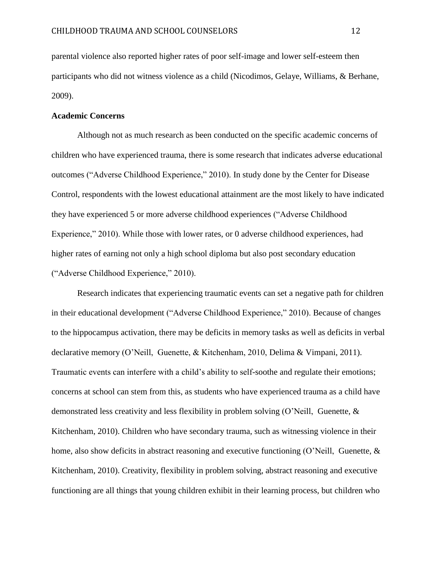parental violence also reported higher rates of poor self-image and lower self-esteem then participants who did not witness violence as a child (Nicodimos, Gelaye, Williams, & Berhane, 2009).

#### **Academic Concerns**

Although not as much research as been conducted on the specific academic concerns of children who have experienced trauma, there is some research that indicates adverse educational outcomes ("Adverse Childhood Experience," 2010). In study done by the Center for Disease Control, respondents with the lowest educational attainment are the most likely to have indicated they have experienced 5 or more adverse childhood experiences ("Adverse Childhood Experience," 2010). While those with lower rates, or 0 adverse childhood experiences, had higher rates of earning not only a high school diploma but also post secondary education ("Adverse Childhood Experience," 2010).

Research indicates that experiencing traumatic events can set a negative path for children in their educational development ("Adverse Childhood Experience," 2010). Because of changes to the hippocampus activation, there may be deficits in memory tasks as well as deficits in verbal declarative memory (O'Neill, Guenette, & Kitchenham, 2010, Delima & Vimpani, 2011). Traumatic events can interfere with a child's ability to self-soothe and regulate their emotions; concerns at school can stem from this, as students who have experienced trauma as a child have demonstrated less creativity and less flexibility in problem solving (O'Neill, Guenette, & Kitchenham, 2010). Children who have secondary trauma, such as witnessing violence in their home, also show deficits in abstract reasoning and executive functioning (O'Neill, Guenette, & Kitchenham, 2010). Creativity, flexibility in problem solving, abstract reasoning and executive functioning are all things that young children exhibit in their learning process, but children who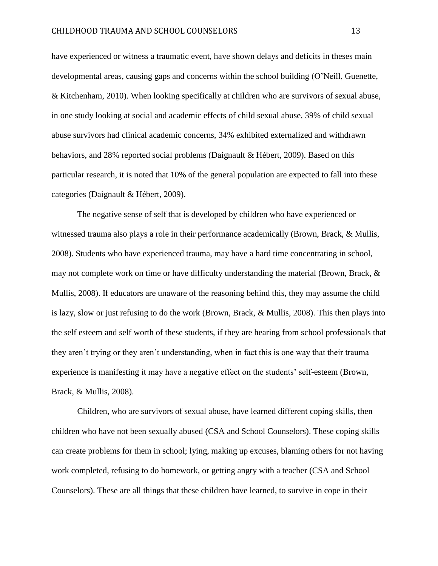have experienced or witness a traumatic event, have shown delays and deficits in theses main developmental areas, causing gaps and concerns within the school building (O'Neill, Guenette, & Kitchenham, 2010). When looking specifically at children who are survivors of sexual abuse, in one study looking at social and academic effects of child sexual abuse, 39% of child sexual abuse survivors had clinical academic concerns, 34% exhibited externalized and withdrawn behaviors, and 28% reported social problems (Daignault & Hébert, 2009). Based on this particular research, it is noted that 10% of the general population are expected to fall into these categories (Daignault & Hébert, 2009).

The negative sense of self that is developed by children who have experienced or witnessed trauma also plays a role in their performance academically (Brown, Brack, & Mullis, 2008). Students who have experienced trauma, may have a hard time concentrating in school, may not complete work on time or have difficulty understanding the material (Brown, Brack, & Mullis, 2008). If educators are unaware of the reasoning behind this, they may assume the child is lazy, slow or just refusing to do the work (Brown, Brack, & Mullis, 2008). This then plays into the self esteem and self worth of these students, if they are hearing from school professionals that they aren't trying or they aren't understanding, when in fact this is one way that their trauma experience is manifesting it may have a negative effect on the students' self-esteem (Brown, Brack, & Mullis, 2008).

Children, who are survivors of sexual abuse, have learned different coping skills, then children who have not been sexually abused (CSA and School Counselors). These coping skills can create problems for them in school; lying, making up excuses, blaming others for not having work completed, refusing to do homework, or getting angry with a teacher (CSA and School Counselors). These are all things that these children have learned, to survive in cope in their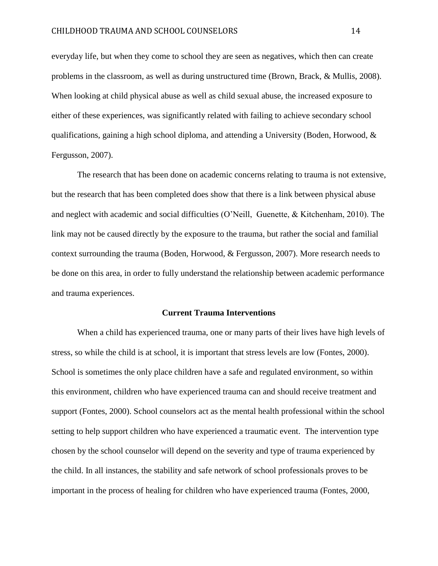everyday life, but when they come to school they are seen as negatives, which then can create problems in the classroom, as well as during unstructured time (Brown, Brack, & Mullis, 2008). When looking at child physical abuse as well as child sexual abuse, the increased exposure to either of these experiences, was significantly related with failing to achieve secondary school qualifications, gaining a high school diploma, and attending a University (Boden, Horwood, & Fergusson, 2007).

The research that has been done on academic concerns relating to trauma is not extensive, but the research that has been completed does show that there is a link between physical abuse and neglect with academic and social difficulties (O'Neill, Guenette, & Kitchenham, 2010). The link may not be caused directly by the exposure to the trauma, but rather the social and familial context surrounding the trauma (Boden, Horwood, & Fergusson, 2007). More research needs to be done on this area, in order to fully understand the relationship between academic performance and trauma experiences.

#### **Current Trauma Interventions**

When a child has experienced trauma, one or many parts of their lives have high levels of stress, so while the child is at school, it is important that stress levels are low (Fontes, 2000). School is sometimes the only place children have a safe and regulated environment, so within this environment, children who have experienced trauma can and should receive treatment and support (Fontes, 2000). School counselors act as the mental health professional within the school setting to help support children who have experienced a traumatic event. The intervention type chosen by the school counselor will depend on the severity and type of trauma experienced by the child. In all instances, the stability and safe network of school professionals proves to be important in the process of healing for children who have experienced trauma (Fontes, 2000,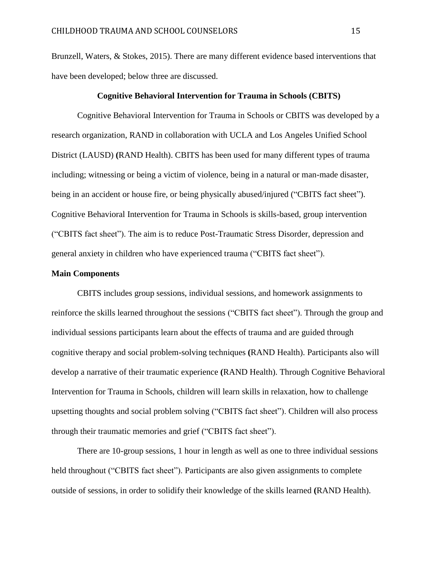Brunzell, Waters, & Stokes, 2015). There are many different evidence based interventions that have been developed; below three are discussed.

#### **Cognitive Behavioral Intervention for Trauma in Schools (CBITS)**

Cognitive Behavioral Intervention for Trauma in Schools or CBITS was developed by a research organization, RAND in collaboration with UCLA and Los Angeles Unified School District (LAUSD) **(**RAND Health). CBITS has been used for many different types of trauma including; witnessing or being a victim of violence, being in a natural or man-made disaster, being in an accident or house fire, or being physically abused/injured ("CBITS fact sheet"). Cognitive Behavioral Intervention for Trauma in Schools is skills-based, group intervention ("CBITS fact sheet"). The aim is to reduce Post-Traumatic Stress Disorder, depression and general anxiety in children who have experienced trauma ("CBITS fact sheet").

#### **Main Components**

CBITS includes group sessions, individual sessions, and homework assignments to reinforce the skills learned throughout the sessions ("CBITS fact sheet"). Through the group and individual sessions participants learn about the effects of trauma and are guided through cognitive therapy and social problem-solving techniques **(**RAND Health). Participants also will develop a narrative of their traumatic experience **(**RAND Health). Through Cognitive Behavioral Intervention for Trauma in Schools, children will learn skills in relaxation, how to challenge upsetting thoughts and social problem solving ("CBITS fact sheet"). Children will also process through their traumatic memories and grief ("CBITS fact sheet").

There are 10-group sessions, 1 hour in length as well as one to three individual sessions held throughout ("CBITS fact sheet"). Participants are also given assignments to complete outside of sessions, in order to solidify their knowledge of the skills learned **(**RAND Health).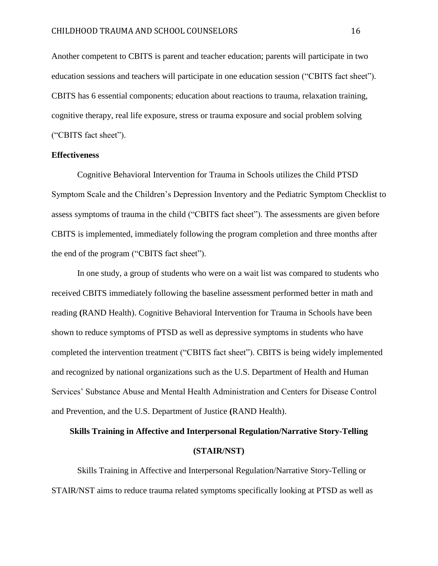Another competent to CBITS is parent and teacher education; parents will participate in two education sessions and teachers will participate in one education session ("CBITS fact sheet"). CBITS has 6 essential components; education about reactions to trauma, relaxation training, cognitive therapy, real life exposure, stress or trauma exposure and social problem solving ("CBITS fact sheet").

#### **Effectiveness**

Cognitive Behavioral Intervention for Trauma in Schools utilizes the Child PTSD Symptom Scale and the Children's Depression Inventory and the Pediatric Symptom Checklist to assess symptoms of trauma in the child ("CBITS fact sheet"). The assessments are given before CBITS is implemented, immediately following the program completion and three months after the end of the program ("CBITS fact sheet").

In one study, a group of students who were on a wait list was compared to students who received CBITS immediately following the baseline assessment performed better in math and reading **(**RAND Health). Cognitive Behavioral Intervention for Trauma in Schools have been shown to reduce symptoms of PTSD as well as depressive symptoms in students who have completed the intervention treatment ("CBITS fact sheet"). CBITS is being widely implemented and recognized by national organizations such as the U.S. Department of Health and Human Services' Substance Abuse and Mental Health Administration and Centers for Disease Control and Prevention, and the U.S. Department of Justice **(**RAND Health).

# **Skills Training in Affective and Interpersonal Regulation/Narrative Story-Telling (STAIR/NST)**

Skills Training in Affective and Interpersonal Regulation/Narrative Story-Telling or STAIR/NST aims to reduce trauma related symptoms specifically looking at PTSD as well as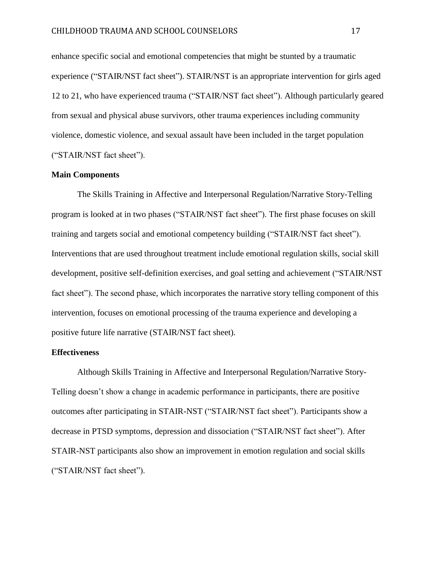enhance specific social and emotional competencies that might be stunted by a traumatic experience ("STAIR/NST fact sheet"). STAIR/NST is an appropriate intervention for girls aged 12 to 21, who have experienced trauma ("STAIR/NST fact sheet"). Although particularly geared from sexual and physical abuse survivors, other trauma experiences including community violence, domestic violence, and sexual assault have been included in the target population ("STAIR/NST fact sheet").

#### **Main Components**

The Skills Training in Affective and Interpersonal Regulation/Narrative Story-Telling program is looked at in two phases ("STAIR/NST fact sheet"). The first phase focuses on skill training and targets social and emotional competency building ("STAIR/NST fact sheet"). Interventions that are used throughout treatment include emotional regulation skills, social skill development, positive self-definition exercises, and goal setting and achievement ("STAIR/NST fact sheet"). The second phase, which incorporates the narrative story telling component of this intervention, focuses on emotional processing of the trauma experience and developing a positive future life narrative (STAIR/NST fact sheet).

#### **Effectiveness**

Although Skills Training in Affective and Interpersonal Regulation/Narrative Story-Telling doesn't show a change in academic performance in participants, there are positive outcomes after participating in STAIR-NST ("STAIR/NST fact sheet"). Participants show a decrease in PTSD symptoms, depression and dissociation ("STAIR/NST fact sheet"). After STAIR-NST participants also show an improvement in emotion regulation and social skills ("STAIR/NST fact sheet").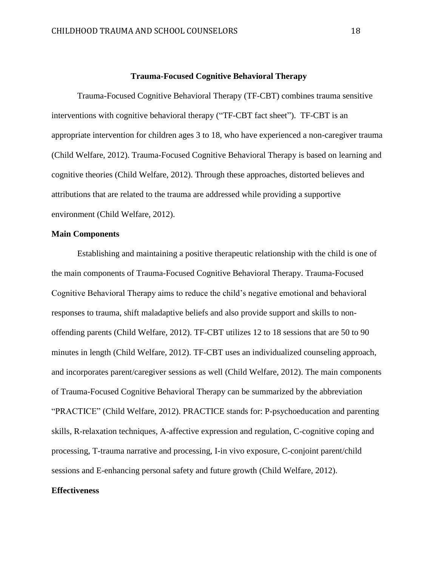#### **Trauma-Focused Cognitive Behavioral Therapy**

Trauma-Focused Cognitive Behavioral Therapy (TF-CBT) combines trauma sensitive interventions with cognitive behavioral therapy ("TF-CBT fact sheet"). TF-CBT is an appropriate intervention for children ages 3 to 18, who have experienced a non-caregiver trauma (Child Welfare, 2012). Trauma-Focused Cognitive Behavioral Therapy is based on learning and cognitive theories (Child Welfare, 2012). Through these approaches, distorted believes and attributions that are related to the trauma are addressed while providing a supportive environment (Child Welfare, 2012).

#### **Main Components**

Establishing and maintaining a positive therapeutic relationship with the child is one of the main components of Trauma-Focused Cognitive Behavioral Therapy. Trauma-Focused Cognitive Behavioral Therapy aims to reduce the child's negative emotional and behavioral responses to trauma, shift maladaptive beliefs and also provide support and skills to nonoffending parents (Child Welfare, 2012). TF-CBT utilizes 12 to 18 sessions that are 50 to 90 minutes in length (Child Welfare, 2012). TF-CBT uses an individualized counseling approach, and incorporates parent/caregiver sessions as well (Child Welfare, 2012). The main components of Trauma-Focused Cognitive Behavioral Therapy can be summarized by the abbreviation "PRACTICE" (Child Welfare, 2012). PRACTICE stands for: P-psychoeducation and parenting skills, R-relaxation techniques, A-affective expression and regulation, C-cognitive coping and processing, T-trauma narrative and processing, I-in vivo exposure, C-conjoint parent/child sessions and E-enhancing personal safety and future growth (Child Welfare, 2012).

#### **Effectiveness**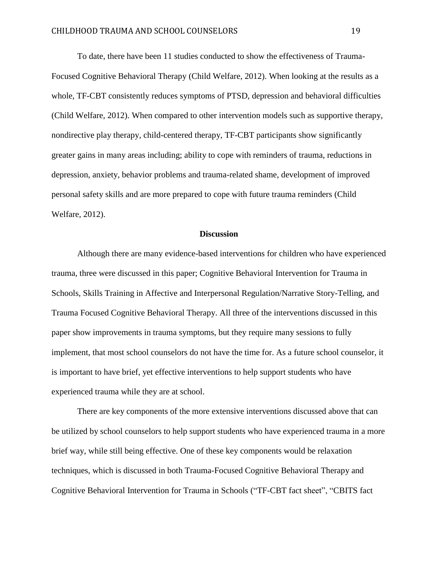To date, there have been 11 studies conducted to show the effectiveness of Trauma-Focused Cognitive Behavioral Therapy (Child Welfare, 2012). When looking at the results as a whole, TF-CBT consistently reduces symptoms of PTSD, depression and behavioral difficulties (Child Welfare, 2012). When compared to other intervention models such as supportive therapy, nondirective play therapy, child-centered therapy, TF-CBT participants show significantly greater gains in many areas including; ability to cope with reminders of trauma, reductions in depression, anxiety, behavior problems and trauma-related shame, development of improved personal safety skills and are more prepared to cope with future trauma reminders (Child Welfare, 2012).

#### **Discussion**

Although there are many evidence-based interventions for children who have experienced trauma, three were discussed in this paper; Cognitive Behavioral Intervention for Trauma in Schools, Skills Training in Affective and Interpersonal Regulation/Narrative Story-Telling, and Trauma Focused Cognitive Behavioral Therapy. All three of the interventions discussed in this paper show improvements in trauma symptoms, but they require many sessions to fully implement, that most school counselors do not have the time for. As a future school counselor, it is important to have brief, yet effective interventions to help support students who have experienced trauma while they are at school.

There are key components of the more extensive interventions discussed above that can be utilized by school counselors to help support students who have experienced trauma in a more brief way, while still being effective. One of these key components would be relaxation techniques, which is discussed in both Trauma-Focused Cognitive Behavioral Therapy and Cognitive Behavioral Intervention for Trauma in Schools ("TF-CBT fact sheet", "CBITS fact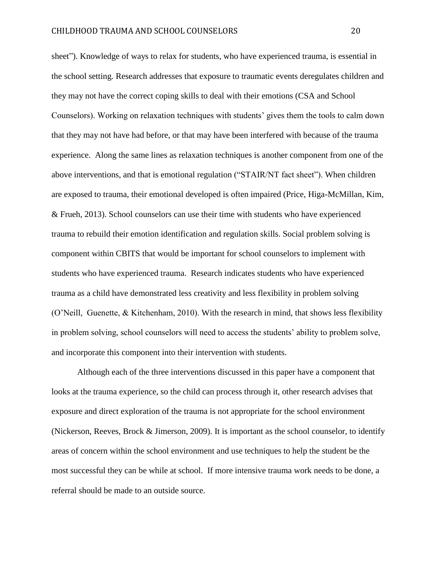sheet"). Knowledge of ways to relax for students, who have experienced trauma, is essential in the school setting. Research addresses that exposure to traumatic events deregulates children and they may not have the correct coping skills to deal with their emotions (CSA and School Counselors). Working on relaxation techniques with students' gives them the tools to calm down that they may not have had before, or that may have been interfered with because of the trauma experience. Along the same lines as relaxation techniques is another component from one of the above interventions, and that is emotional regulation ("STAIR/NT fact sheet"). When children are exposed to trauma, their emotional developed is often impaired (Price, Higa-McMillan, Kim, & Frueh, 2013). School counselors can use their time with students who have experienced trauma to rebuild their emotion identification and regulation skills. Social problem solving is component within CBITS that would be important for school counselors to implement with students who have experienced trauma. Research indicates students who have experienced trauma as a child have demonstrated less creativity and less flexibility in problem solving (O'Neill, Guenette, & Kitchenham, 2010). With the research in mind, that shows less flexibility in problem solving, school counselors will need to access the students' ability to problem solve, and incorporate this component into their intervention with students.

Although each of the three interventions discussed in this paper have a component that looks at the trauma experience, so the child can process through it, other research advises that exposure and direct exploration of the trauma is not appropriate for the school environment (Nickerson, Reeves, Brock & Jimerson, 2009). It is important as the school counselor, to identify areas of concern within the school environment and use techniques to help the student be the most successful they can be while at school. If more intensive trauma work needs to be done, a referral should be made to an outside source.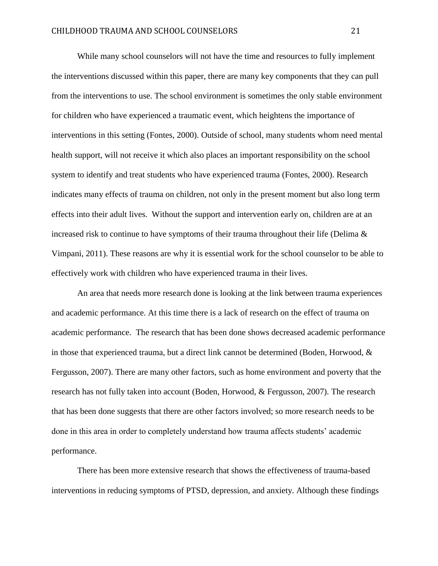While many school counselors will not have the time and resources to fully implement the interventions discussed within this paper, there are many key components that they can pull from the interventions to use. The school environment is sometimes the only stable environment for children who have experienced a traumatic event, which heightens the importance of interventions in this setting (Fontes, 2000). Outside of school, many students whom need mental health support, will not receive it which also places an important responsibility on the school system to identify and treat students who have experienced trauma (Fontes, 2000). Research indicates many effects of trauma on children, not only in the present moment but also long term effects into their adult lives. Without the support and intervention early on, children are at an increased risk to continue to have symptoms of their trauma throughout their life (Delima  $\&$ Vimpani, 2011). These reasons are why it is essential work for the school counselor to be able to effectively work with children who have experienced trauma in their lives.

An area that needs more research done is looking at the link between trauma experiences and academic performance. At this time there is a lack of research on the effect of trauma on academic performance. The research that has been done shows decreased academic performance in those that experienced trauma, but a direct link cannot be determined (Boden, Horwood, & Fergusson, 2007). There are many other factors, such as home environment and poverty that the research has not fully taken into account (Boden, Horwood, & Fergusson, 2007). The research that has been done suggests that there are other factors involved; so more research needs to be done in this area in order to completely understand how trauma affects students' academic performance.

There has been more extensive research that shows the effectiveness of trauma-based interventions in reducing symptoms of PTSD, depression, and anxiety. Although these findings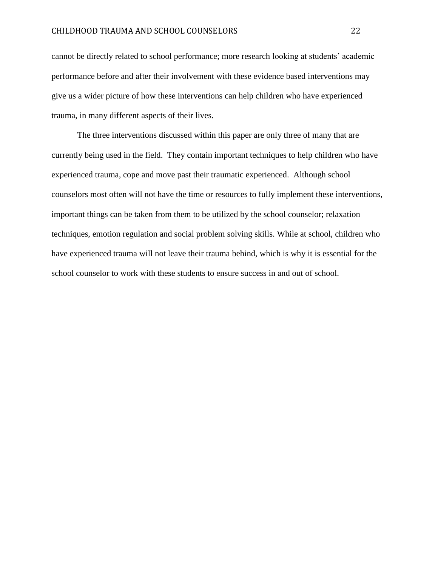cannot be directly related to school performance; more research looking at students' academic performance before and after their involvement with these evidence based interventions may give us a wider picture of how these interventions can help children who have experienced trauma, in many different aspects of their lives.

The three interventions discussed within this paper are only three of many that are currently being used in the field. They contain important techniques to help children who have experienced trauma, cope and move past their traumatic experienced. Although school counselors most often will not have the time or resources to fully implement these interventions, important things can be taken from them to be utilized by the school counselor; relaxation techniques, emotion regulation and social problem solving skills. While at school, children who have experienced trauma will not leave their trauma behind, which is why it is essential for the school counselor to work with these students to ensure success in and out of school.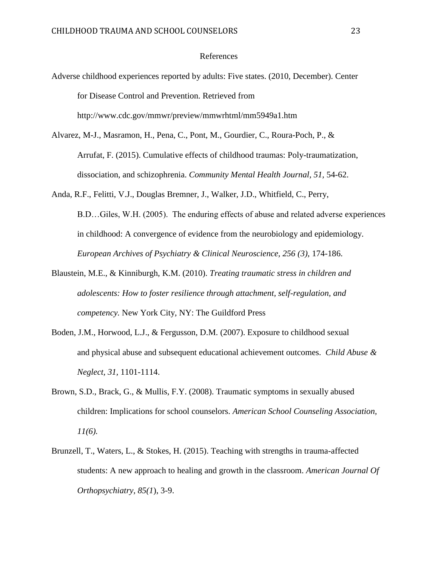#### References

- Adverse childhood experiences reported by adults: Five states. (2010, December). Center for Disease Control and Prevention. Retrieved from http://www.cdc.gov/mmwr/preview/mmwrhtml/mm5949a1.htm
- Alvarez, M-J., Masramon, H., Pena, C., Pont, M., Gourdier, C., Roura-Poch, P., & Arrufat, F. (2015). Cumulative effects of childhood traumas: Poly-traumatization, dissociation, and schizophrenia. *Community Mental Health Journal, 51,* 54-62.
- Anda, R.F., Felitti, V.J., Douglas Bremner, J., Walker, J.D., Whitfield, C., Perry, B.D…Giles, W.H. (2005). The enduring effects of abuse and related adverse experiences in childhood: A convergence of evidence from the neurobiology and epidemiology. *European Archives of Psychiatry & Clinical Neuroscience, 256 (3),* 174-186.
- Blaustein, M.E., & Kinniburgh, K.M. (2010). *Treating traumatic stress in children and adolescents: How to foster resilience through attachment, self-regulation, and competency.* New York City, NY: The Guildford Press
- Boden, J.M., Horwood, L.J., & Fergusson, D.M. (2007). Exposure to childhood sexual and physical abuse and subsequent educational achievement outcomes. *Child Abuse & Neglect, 31,* 1101-1114.
- Brown, S.D., Brack, G., & Mullis, F.Y. (2008). Traumatic symptoms in sexually abused children: Implications for school counselors. *American School Counseling Association, 11(6).*
- Brunzell, T., Waters, L., & Stokes, H. (2015). Teaching with strengths in trauma-affected students: A new approach to healing and growth in the classroom. *American Journal Of Orthopsychiatry, 85(1*), 3-9.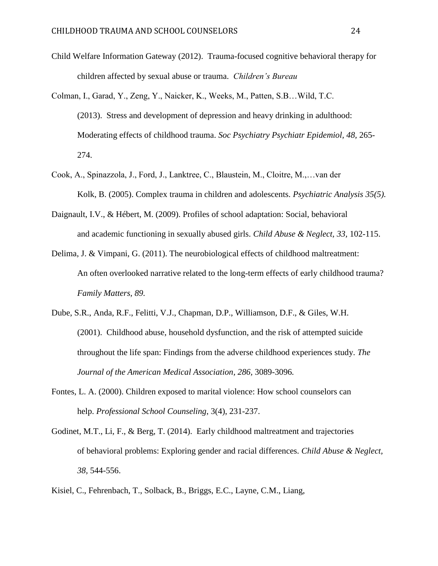- Child Welfare Information Gateway (2012). Trauma-focused cognitive behavioral therapy for children affected by sexual abuse or trauma. *Children's Bureau*
- Colman, I., Garad, Y., Zeng, Y., Naicker, K., Weeks, M., Patten, S.B…Wild, T.C. (2013). Stress and development of depression and heavy drinking in adulthood: Moderating effects of childhood trauma. *Soc Psychiatry Psychiatr Epidemiol, 48,* 265- 274.
- Cook, A., Spinazzola, J., Ford, J., Lanktree, C., Blaustein, M., Cloitre, M.,…van der Kolk, B. (2005). Complex trauma in children and adolescents. *Psychiatric Analysis 35(5).*
- Daignault, I.V., & Hébert, M. (2009). Profiles of school adaptation: Social, behavioral and academic functioning in sexually abused girls. *Child Abuse & Neglect, 33,* 102-115.
- Delima, J. & Vimpani, G. (2011). The neurobiological effects of childhood maltreatment: An often overlooked narrative related to the long-term effects of early childhood trauma? *Family Matters, 89.*
- Dube, S.R., Anda, R.F., Felitti, V.J., Chapman, D.P., Williamson, D.F., & Giles, W.H. (2001). Childhood abuse, household dysfunction, and the risk of attempted suicide throughout the life span: Findings from the adverse childhood experiences study. *The Journal of the American Medical Association, 286,* 3089-3096*.*
- Fontes, L. A. (2000). Children exposed to marital violence: How school counselors can help. *Professional School Counseling*, 3(4), 231-237.
- Godinet, M.T., Li, F., & Berg, T. (2014). Early childhood maltreatment and trajectories of behavioral problems: Exploring gender and racial differences. *Child Abuse & Neglect, 38,* 544-556.
- Kisiel, C., Fehrenbach, T., Solback, B., Briggs, E.C., Layne, C.M., Liang,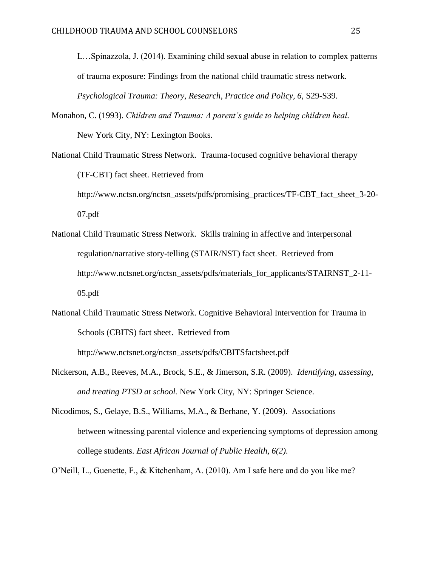L…Spinazzola, J. (2014). Examining child sexual abuse in relation to complex patterns of trauma exposure: Findings from the national child traumatic stress network. Psychological Trauma: Theory, Research, Practice and Policy, 6, S29-S39.

- Monahon, C. (1993). *Children and Trauma: A parent's guide to helping children heal.*  New York City, NY: Lexington Books.
- National Child Traumatic Stress Network. Trauma-focused cognitive behavioral therapy (TF-CBT) fact sheet. Retrieved from http://www.nctsn.org/nctsn\_assets/pdfs/promising\_practices/TF-CBT\_fact\_sheet\_3-20- 07.pdf
- National Child Traumatic Stress Network. Skills training in affective and interpersonal regulation/narrative story-telling (STAIR/NST) fact sheet. Retrieved from http://www.nctsnet.org/nctsn\_assets/pdfs/materials\_for\_applicants/STAIRNST\_2-11-05.pdf
- National Child Traumatic Stress Network. Cognitive Behavioral Intervention for Trauma in Schools (CBITS) fact sheet. Retrieved from

http://www.nctsnet.org/nctsn\_assets/pdfs/CBITSfactsheet.pdf

- Nickerson, A.B., Reeves, M.A., Brock, S.E., & Jimerson, S.R. (2009). *Identifying, assessing, and treating PTSD at school.* New York City, NY: Springer Science.
- Nicodimos, S., Gelaye, B.S., Williams, M.A., & Berhane, Y. (2009). Associations between witnessing parental violence and experiencing symptoms of depression among college students. *East African Journal of Public Health, 6(2).*
- O'Neill, L., Guenette, F., & Kitchenham, A. (2010). Am I safe here and do you like me?